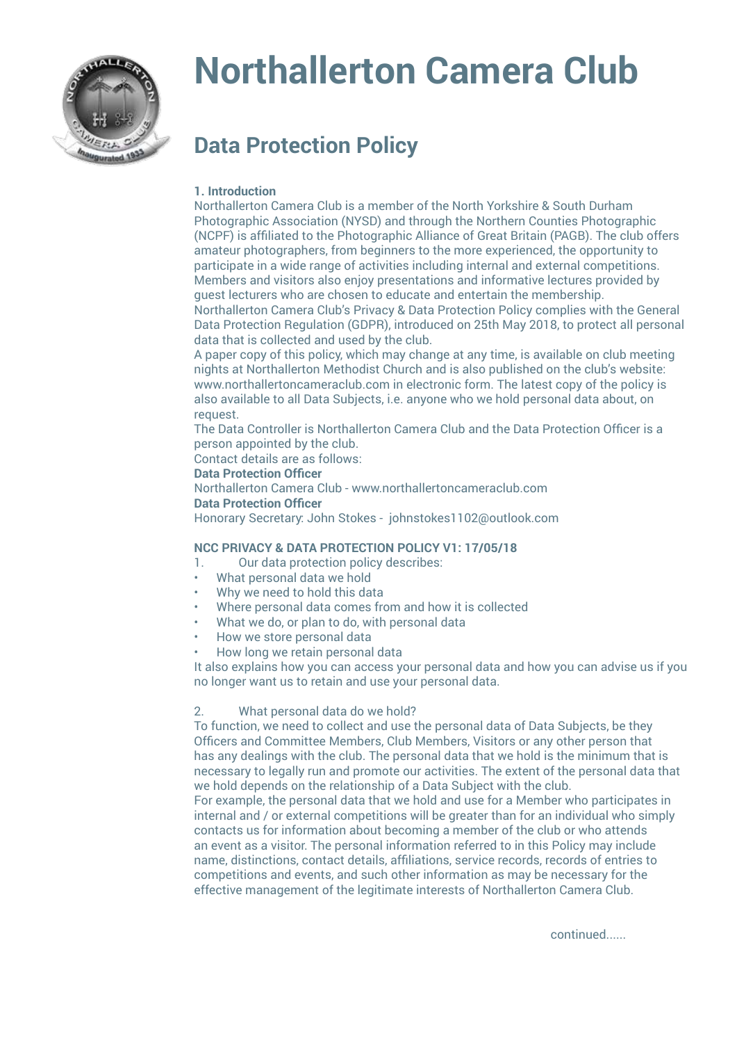

# **Northallerton Camera Club**

## **Data Protection Policy**

### **1. Introduction**

Northallerton Camera Club is a member of the North Yorkshire & South Durham Photographic Association (NYSD) and through the Northern Counties Photographic (NCPF) is affiliated to the Photographic Alliance of Great Britain (PAGB). The club offers amateur photographers, from beginners to the more experienced, the opportunity to participate in a wide range of activities including internal and external competitions. Members and visitors also enjoy presentations and informative lectures provided by guest lecturers who are chosen to educate and entertain the membership. Northallerton Camera Club's Privacy & Data Protection Policy complies with the General Data Protection Regulation (GDPR), introduced on 25th May 2018, to protect all personal data that is collected and used by the club.

A paper copy of this policy, which may change at any time, is available on club meeting nights at Northallerton Methodist Church and is also published on the club's website: www.northallertoncameraclub.com in electronic form. The latest copy of the policy is also available to all Data Subjects, i.e. anyone who we hold personal data about, on request.

The Data Controller is Northallerton Camera Club and the Data Protection Officer is a person appointed by the club.

#### Contact details are as follows:

#### **Data Protection Officer**

Northallerton Camera Club - www.northallertoncameraclub.com **Data Protection Officer**

Honorary Secretary: John Stokes - johnstokes1102@outlook.com

#### **NCC PRIVACY & DATA PROTECTION POLICY V1: 17/05/18**

- 1. Our data protection policy describes:
- What personal data we hold
- Why we need to hold this data
- Where personal data comes from and how it is collected
- What we do, or plan to do, with personal data
- How we store personal data
- How long we retain personal data

It also explains how you can access your personal data and how you can advise us if you no longer want us to retain and use your personal data.

#### 2. What personal data do we hold?

To function, we need to collect and use the personal data of Data Subjects, be they Officers and Committee Members, Club Members, Visitors or any other person that has any dealings with the club. The personal data that we hold is the minimum that is necessary to legally run and promote our activities. The extent of the personal data that we hold depends on the relationship of a Data Subject with the club.

For example, the personal data that we hold and use for a Member who participates in internal and / or external competitions will be greater than for an individual who simply contacts us for information about becoming a member of the club or who attends an event as a visitor. The personal information referred to in this Policy may include name, distinctions, contact details, affiliations, service records, records of entries to competitions and events, and such other information as may be necessary for the effective management of the legitimate interests of Northallerton Camera Club.

continued......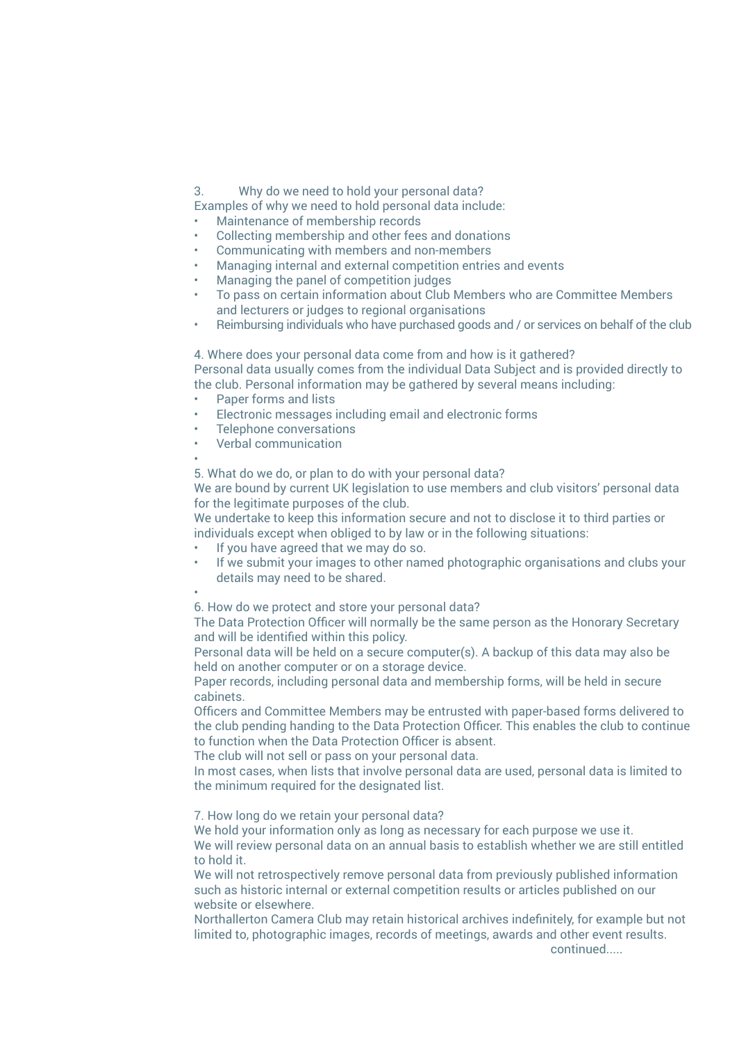3. Why do we need to hold your personal data?

Examples of why we need to hold personal data include:

- Maintenance of membership records
- Collecting membership and other fees and donations
- Communicating with members and non-members
- Managing internal and external competition entries and events
- Managing the panel of competition judges
- To pass on certain information about Club Members who are Committee Members and lecturers or judges to regional organisations
- Reimbursing individuals who have purchased goods and / or services on behalf of the club

4. Where does your personal data come from and how is it gathered? Personal data usually comes from the individual Data Subject and is provided directly to the club. Personal information may be gathered by several means including:

- Paper forms and lists
- Electronic messages including email and electronic forms
- Telephone conversations
- Verbal communication

•

5. What do we do, or plan to do with your personal data?

We are bound by current UK legislation to use members and club visitors' personal data for the legitimate purposes of the club.

We undertake to keep this information secure and not to disclose it to third parties or individuals except when obliged to by law or in the following situations:

- If you have agreed that we may do so.
- If we submit your images to other named photographic organisations and clubs your details may need to be shared.

•

6. How do we protect and store your personal data?

The Data Protection Officer will normally be the same person as the Honorary Secretary and will be identified within this policy.

Personal data will be held on a secure computer(s). A backup of this data may also be held on another computer or on a storage device.

Paper records, including personal data and membership forms, will be held in secure cabinets.

Officers and Committee Members may be entrusted with paper-based forms delivered to the club pending handing to the Data Protection Officer. This enables the club to continue to function when the Data Protection Officer is absent.

The club will not sell or pass on your personal data.

In most cases, when lists that involve personal data are used, personal data is limited to the minimum required for the designated list.

7. How long do we retain your personal data?

We hold your information only as long as necessary for each purpose we use it. We will review personal data on an annual basis to establish whether we are still entitled to hold it.

We will not retrospectively remove personal data from previously published information such as historic internal or external competition results or articles published on our website or elsewhere.

Northallerton Camera Club may retain historical archives indefinitely, for example but not limited to, photographic images, records of meetings, awards and other event results.

continued.....